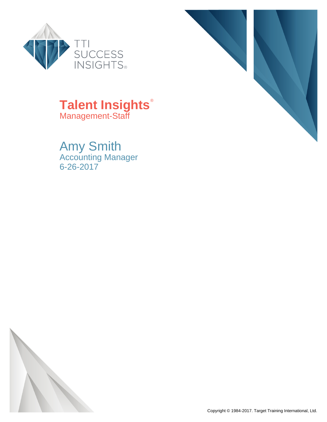



### **Talent Insights**® Management-Staff

Amy Smith Accounting Manager 6-26-2017

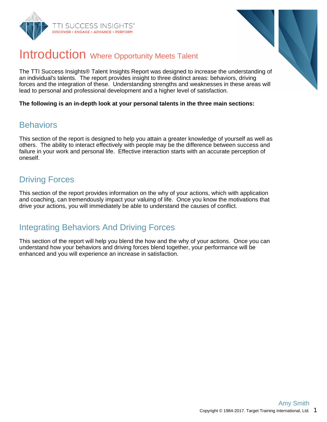



### Introduction Where Opportunity Meets Talent

The TTI Success Insights® Talent Insights Report was designed to increase the understanding of an individual's talents. The report provides insight to three distinct areas: behaviors, driving forces and the integration of these. Understanding strengths and weaknesses in these areas will lead to personal and professional development and a higher level of satisfaction.

**The following is an in-depth look at your personal talents in the three main sections:**

### **Behaviors**

This section of the report is designed to help you attain a greater knowledge of yourself as well as others. The ability to interact effectively with people may be the difference between success and failure in your work and personal life. Effective interaction starts with an accurate perception of oneself.

### Driving Forces

This section of the report provides information on the why of your actions, which with application and coaching, can tremendously impact your valuing of life. Once you know the motivations that drive your actions, you will immediately be able to understand the causes of conflict.

### Integrating Behaviors And Driving Forces

This section of the report will help you blend the how and the why of your actions. Once you can understand how your behaviors and driving forces blend together, your performance will be enhanced and you will experience an increase in satisfaction.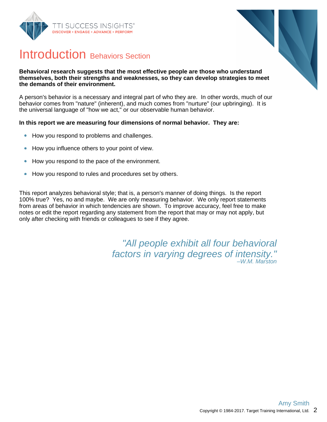



### Introduction Behaviors Section

#### **Behavioral research suggests that the most effective people are those who understand themselves, both their strengths and weaknesses, so they can develop strategies to meet the demands of their environment.**

A person's behavior is a necessary and integral part of who they are. In other words, much of our behavior comes from "nature" (inherent), and much comes from "nurture" (our upbringing). It is the universal language of "how we act," or our observable human behavior.

#### **In this report we are measuring four dimensions of normal behavior. They are:**

- How you respond to problems and challenges.  $\bullet$
- How you influence others to your point of view.  $\bullet$
- How you respond to the pace of the environment.  $\bullet$
- How you respond to rules and procedures set by others.  $\bullet$

This report analyzes behavioral style; that is, a person's manner of doing things. Is the report 100% true? Yes, no and maybe. We are only measuring behavior. We only report statements from areas of behavior in which tendencies are shown. To improve accuracy, feel free to make notes or edit the report regarding any statement from the report that may or may not apply, but only after checking with friends or colleagues to see if they agree.

> "All people exhibit all four behavioral factors in varying degrees of intensity." –W.M. Marston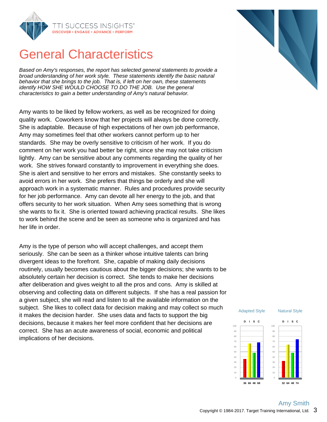

## General Characteristics

Based on Amy's responses, the report has selected general statements to provide a broad understanding of her work style. These statements identify the basic natural behavior that she brings to the job. That is, if left on her own, these statements identify HOW SHE WOULD CHOOSE TO DO THE JOB. Use the general characteristics to gain a better understanding of Amy's natural behavior.

Amy wants to be liked by fellow workers, as well as be recognized for doing quality work. Coworkers know that her projects will always be done correctly. She is adaptable. Because of high expectations of her own job performance, Amy may sometimes feel that other workers cannot perform up to her standards. She may be overly sensitive to criticism of her work. If you do comment on her work you had better be right, since she may not take criticism lightly. Amy can be sensitive about any comments regarding the quality of her work. She strives forward constantly to improvement in everything she does. She is alert and sensitive to her errors and mistakes. She constantly seeks to avoid errors in her work. She prefers that things be orderly and she will approach work in a systematic manner. Rules and procedures provide security for her job performance. Amy can devote all her energy to the job, and that offers security to her work situation. When Amy sees something that is wrong she wants to fix it. She is oriented toward achieving practical results. She likes to work behind the scene and be seen as someone who is organized and has her life in order.

Amy is the type of person who will accept challenges, and accept them seriously. She can be seen as a thinker whose intuitive talents can bring divergent ideas to the forefront. She, capable of making daily decisions routinely, usually becomes cautious about the bigger decisions; she wants to be absolutely certain her decision is correct. She tends to make her decisions after deliberation and gives weight to all the pros and cons. Amy is skilled at observing and collecting data on different subjects. If she has a real passion for a given subject, she will read and listen to all the available information on the subject. She likes to collect data for decision making and may collect so much it makes the decision harder. She uses data and facts to support the big decisions, because it makes her feel more confident that her decisions are correct. She has an acute awareness of social, economic and political implications of her decisions.





**32 64 48 74**

**36 66 48 68**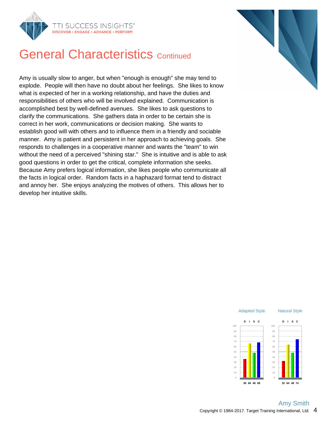



## **General Characteristics Continued**

Amy is usually slow to anger, but when "enough is enough" she may tend to explode. People will then have no doubt about her feelings. She likes to know what is expected of her in a working relationship, and have the duties and responsibilities of others who will be involved explained. Communication is accomplished best by well-defined avenues. She likes to ask questions to clarify the communications. She gathers data in order to be certain she is correct in her work, communications or decision making. She wants to establish good will with others and to influence them in a friendly and sociable manner. Amy is patient and persistent in her approach to achieving goals. She responds to challenges in a cooperative manner and wants the "team" to win without the need of a perceived "shining star." She is intuitive and is able to ask good questions in order to get the critical, complete information she seeks. Because Amy prefers logical information, she likes people who communicate all the facts in logical order. Random facts in a haphazard format tend to distract and annoy her. She enjoys analyzing the motives of others. This allows her to develop her intuitive skills.

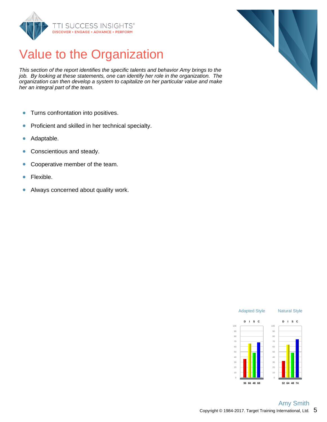

## Value to the Organization

This section of the report identifies the specific talents and behavior Amy brings to the job. By looking at these statements, one can identify her role in the organization. The organization can then develop a system to capitalize on her particular value and make her an integral part of the team.

- $\bullet$ Turns confrontation into positives.
- Proficient and skilled in her technical specialty.  $\bullet$
- Adaptable.  $\bullet$
- Conscientious and steady.  $\bullet$
- Cooperative member of the team.  $\bullet$
- Flexible.  $\bullet$
- $\bullet$ Always concerned about quality work.



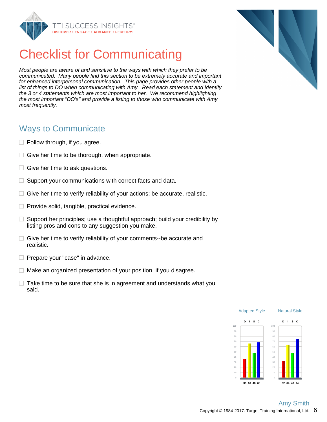

## Checklist for Communicating

Most people are aware of and sensitive to the ways with which they prefer to be communicated. Many people find this section to be extremely accurate and important for enhanced interpersonal communication. This page provides other people with a list of things to DO when communicating with Amy. Read each statement and identify the 3 or 4 statements which are most important to her. We recommend highlighting the most important "DO's" and provide a listing to those who communicate with Amy most frequently.

### Ways to Communicate

- $\Box$  Follow through, if you agree.
- $\Box$  Give her time to be thorough, when appropriate.
- $\Box$  Give her time to ask questions.
- $\Box$  Support your communications with correct facts and data.
- $\Box$  Give her time to verify reliability of your actions; be accurate, realistic.
- $\Box$  Provide solid, tangible, practical evidence.
- $\Box$  Support her principles; use a thoughtful approach; build your credibility by listing pros and cons to any suggestion you make.
- $\Box$  Give her time to verify reliability of your comments--be accurate and realistic.
- $\Box$  Prepare your "case" in advance.
- $\Box$  Make an organized presentation of your position, if you disagree.
- $\Box$  Take time to be sure that she is in agreement and understands what you said.



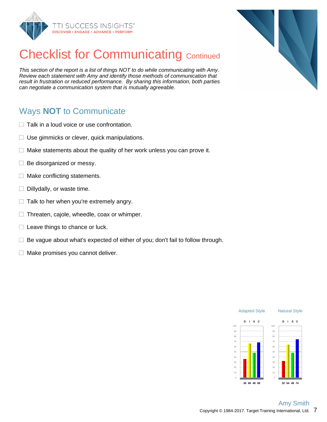

# **Checklist for Communicating Continued**

This section of the report is a list of things NOT to do while communicating with Amy. Review each statement with Amy and identify those methods of communication that result in frustration or reduced performance. By sharing this information, both parties can negotiate a communication system that is mutually agreeable.

### Ways **NOT** to Communicate

- $\Box$  Talk in a loud voice or use confrontation.
- $\Box$  Use gimmicks or clever, quick manipulations.
- Make statements about the quality of her work unless you can prove it. □.
- $\Box$ Be disorganized or messy.
- $\Box$ Make conflicting statements.
- $\Box$  Dillydally, or waste time.
- $\Box$  Talk to her when you're extremely angry.
- $\Box$  Threaten, cajole, wheedle, coax or whimper.
- $\Box$  Leave things to chance or luck.
- $\Box$  Be vague about what's expected of either of you; don't fail to follow through.
- $\Box$  Make promises you cannot deliver.



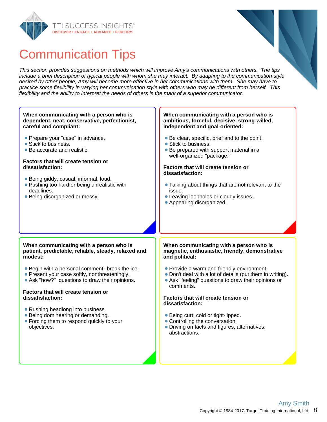



This section provides suggestions on methods which will improve Amy's communications with others. The tips include a brief description of typical people with whom she may interact. By adapting to the communication style desired by other people, Amy will become more effective in her communications with them. She may have to practice some flexibility in varying her communication style with others who may be different from herself. This flexibility and the ability to interpret the needs of others is the mark of a superior communicator.

#### **When communicating with a person who is dependent, neat, conservative, perfectionist, careful and compliant:**

- **Prepare your "case" in advance.**
- Stick to business.
- Be accurate and realistic.

#### **Factors that will create tension or dissatisfaction:**

- Being giddy, casual, informal, loud.
- **Pushing too hard or being unrealistic with** deadlines.
- Being disorganized or messy.

#### **When communicating with a person who is ambitious, forceful, decisive, strong-willed, independent and goal-oriented:**

- Be clear, specific, brief and to the point.
- Stick to business.
- Be prepared with support material in a well-organized "package."

#### **Factors that will create tension or dissatisfaction:**

- Talking about things that are not relevant to the issue.
- Leaving loopholes or cloudy issues.
- Appearing disorganized.

#### **When communicating with a person who is patient, predictable, reliable, steady, relaxed and modest:**

- Begin with a personal comment--break the ice.
- Present your case softly, nonthreateningly.
- Ask "how?" questions to draw their opinions.

#### **Factors that will create tension or dissatisfaction:**

- Rushing headlong into business.
- Being domineering or demanding.
- Forcing them to respond quickly to your objectives.

#### **When communicating with a person who is magnetic, enthusiastic, friendly, demonstrative and political:**

- Provide a warm and friendly environment.
- Don't deal with a lot of details (put them in writing).
- Ask "feeling" questions to draw their opinions or comments.

#### **Factors that will create tension or dissatisfaction:**

- Being curt, cold or tight-lipped.
- Controlling the conversation.
- Driving on facts and figures, alternatives, abstractions.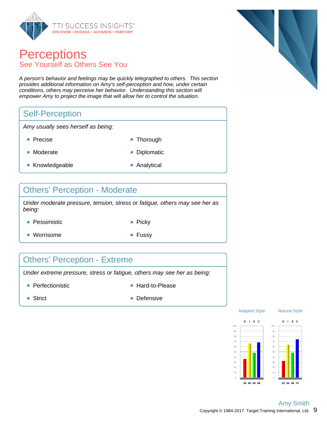

### **Perceptions** See Yourself as Others See You

A person's behavior and feelings may be quickly telegraphed to others. This section provides additional information on Amy's self-perception and how, under certain conditions, others may perceive her behavior. Understanding this section will empower Amy to project the image that will allow her to control the situation.

### Self-Perception

Amy usually sees herself as being:

- 
- Precise **Thorough**
- Moderate **Diplomatic**
- 
- Knowledgeable **Analytical** 
	-

### Others' Perception - Moderate

Under moderate pressure, tension, stress or fatigue, others may see her as being:

- Pessimistic **Picky** Picky
	-
- Worrisome  **Fussy**
- 

### Others' Perception - Extreme

Under extreme pressure, stress or fatigue, others may see her as being:

- Perfectionistic  **Hard-to-Please** 
	-

- 
- Strict **Defensive** Defensive



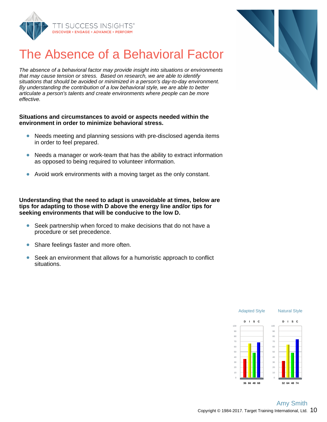

# The Absence of a Behavioral Factor

The absence of a behavioral factor may provide insight into situations or environments that may cause tension or stress. Based on research, we are able to identify situations that should be avoided or minimized in a person's day-to-day environment. By understanding the contribution of a low behavioral style, we are able to better articulate a person's talents and create environments where people can be more effective.

#### **Situations and circumstances to avoid or aspects needed within the environment in order to minimize behavioral stress.**

- Needs meeting and planning sessions with pre-disclosed agenda items in order to feel prepared.
- Needs a manager or work-team that has the ability to extract information  $\bullet$ as opposed to being required to volunteer information.
- Avoid work environments with a moving target as the only constant.

**Understanding that the need to adapt is unavoidable at times, below are tips for adapting to those with D above the energy line and/or tips for seeking environments that will be conducive to the low D.**

- Seek partnership when forced to make decisions that do not have a  $\bullet$ procedure or set precedence.
- Share feelings faster and more often.
- Seek an environment that allows for a humoristic approach to conflict situations.



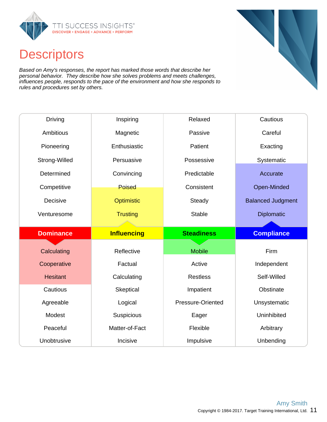

## **Descriptors**

Based on Amy's responses, the report has marked those words that describe her personal behavior. They describe how she solves problems and meets challenges, influences people, responds to the pace of the environment and how she responds to rules and procedures set by others.

| <b>Driving</b>   | Inspiring          | Relaxed           | Cautious                 |
|------------------|--------------------|-------------------|--------------------------|
| Ambitious        | Magnetic           | Passive           | Careful                  |
| Pioneering       | Enthusiastic       | Patient           | Exacting                 |
| Strong-Willed    | Persuasive         | Possessive        | Systematic               |
| Determined       | Convincing         | Predictable       | Accurate                 |
| Competitive      | <b>Poised</b>      | Consistent        | Open-Minded              |
| Decisive         | Optimistic         | Steady            | <b>Balanced Judgment</b> |
| Venturesome      | <b>Trusting</b>    | <b>Stable</b>     | <b>Diplomatic</b>        |
|                  |                    |                   |                          |
|                  |                    |                   |                          |
| <b>Dominance</b> | <b>Influencing</b> | <b>Steadiness</b> | <b>Compliance</b>        |
|                  |                    |                   |                          |
| Calculating      | Reflective         | <b>Mobile</b>     | Firm                     |
| Cooperative      | Factual            | Active            | Independent              |
| <b>Hesitant</b>  | Calculating        | <b>Restless</b>   | Self-Willed              |
| Cautious         | Skeptical          | Impatient         | Obstinate                |
| Agreeable        | Logical            | Pressure-Oriented | Unsystematic             |
| Modest           | Suspicious         | Eager             | Uninhibited              |
| Peaceful         | Matter-of-Fact     | Flexible          | Arbitrary                |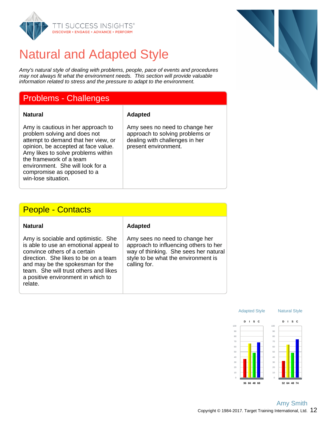

## Natural and Adapted Style

Amy's natural style of dealing with problems, people, pace of events and procedures may not always fit what the environment needs. This section will provide valuable information related to stress and the pressure to adapt to the environment.

### Problems - Challenges

**Natural Adapted**

Amy is cautious in her approach to problem solving and does not attempt to demand that her view, or opinion, be accepted at face value. Amy likes to solve problems within the framework of a team environment. She will look for a compromise as opposed to a win-lose situation.

### Amy sees no need to change her approach to solving problems or dealing with challenges in her

present environment.

### People - Contacts

| Amy is sociable and optimistic. She<br>is able to use an emotional appeal to<br>convince others of a certain<br>direction. She likes to be on a team<br>and may be the spokesman for the<br>team. She will trust others and likes<br>a positive environment in which to<br>relate. |
|------------------------------------------------------------------------------------------------------------------------------------------------------------------------------------------------------------------------------------------------------------------------------------|

#### **Natural Adapted**

Amy sees no need to change her approach to influencing others to her way of thinking. She sees her natural style to be what the environment is calling for.



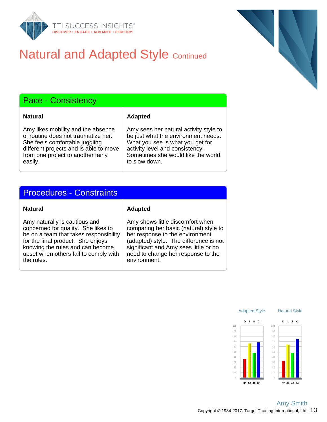

## **Natural and Adapted Style Continued**

### Pace - Consistency

**Natural Adapted** 

Amy likes mobility and the absence of routine does not traumatize her. She feels comfortable juggling different projects and is able to move from one project to another fairly easily.

Amy sees her natural activity style to be just what the environment needs. What you see is what you get for activity level and consistency. Sometimes she would like the world to slow down.

### Procedures - Constraints

#### **Natural Adapted**

Amy naturally is cautious and concerned for quality. She likes to be on a team that takes responsibility for the final product. She enjoys knowing the rules and can become upset when others fail to comply with the rules.

Amy shows little discomfort when comparing her basic (natural) style to her response to the environment (adapted) style. The difference is not significant and Amy sees little or no need to change her response to the environment.



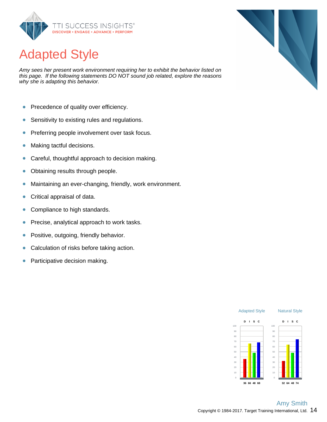

# Adapted Style

Amy sees her present work environment requiring her to exhibit the behavior listed on this page. If the following statements DO NOT sound job related, explore the reasons why she is adapting this behavior.

- Precedence of quality over efficiency.  $\bullet$
- Sensitivity to existing rules and regulations.  $\bullet$
- Preferring people involvement over task focus.  $\bullet$
- Making tactful decisions.  $\bullet$
- Careful, thoughtful approach to decision making.  $\bullet$
- Obtaining results through people.  $\bullet$
- $\bullet$ Maintaining an ever-changing, friendly, work environment.
- Critical appraisal of data.  $\bullet$
- $\bullet$ Compliance to high standards.
- Precise, analytical approach to work tasks.  $\bullet$
- Positive, outgoing, friendly behavior.  $\bullet$
- Calculation of risks before taking action.  $\bullet$
- Participative decision making.  $\bullet$



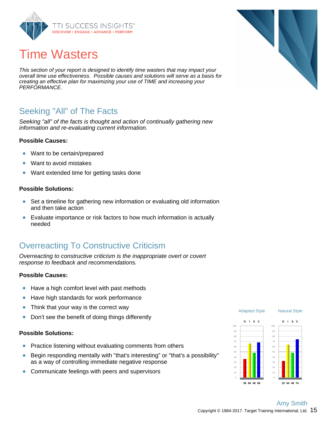

## Time Wasters

This section of your report is designed to identify time wasters that may impact your overall time use effectiveness. Possible causes and solutions will serve as a basis for creating an effective plan for maximizing your use of TIME and increasing your PERFORMANCE.

### Seeking "All" of The Facts

Seeking "all" of the facts is thought and action of continually gathering new information and re-evaluating current information.

#### **Possible Causes:**

- Want to be certain/prepared  $\bullet$
- $\bullet$ Want to avoid mistakes
- Want extended time for getting tasks done  $\bullet$

#### **Possible Solutions:**

- Set a timeline for gathering new information or evaluating old information  $\bullet$ and then take action
- $\bullet$ Evaluate importance or risk factors to how much information is actually needed

### Overreacting To Constructive Criticism

Overreacting to constructive criticism is the inappropriate overt or covert response to feedback and recommendations.

#### **Possible Causes:**

- Have a high comfort level with past methods  $\bullet$
- $\bullet$ Have high standards for work performance
- Think that your way is the correct way  $\bullet$
- Don't see the benefit of doing things differently  $\bullet$

#### **Possible Solutions:**

- Practice listening without evaluating comments from others  $\bullet$
- Begin responding mentally with "that's interesting" or "that's a possibility"  $\bullet$ as a way of controlling immediate negative response
- Communicate feelings with peers and supervisors  $\bullet$

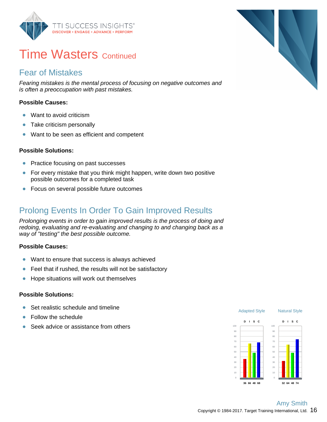

### **Time Wasters Continued**

### Fear of Mistakes

Fearing mistakes is the mental process of focusing on negative outcomes and is often a preoccupation with past mistakes.

### **Possible Causes:**

- Want to avoid criticism  $\bullet$
- Take criticism personally  $\bullet$
- Want to be seen as efficient and competent  $\bullet$

#### **Possible Solutions:**

- $\bullet$ Practice focusing on past successes
- $\bullet$ For every mistake that you think might happen, write down two positive possible outcomes for a completed task
- **•** Focus on several possible future outcomes

### Prolong Events In Order To Gain Improved Results

Prolonging events in order to gain improved results is the process of doing and redoing, evaluating and re-evaluating and changing to and changing back as a way of "testing" the best possible outcome.

#### **Possible Causes:**

- Want to ensure that success is always achieved  $\bullet$
- $\bullet$ Feel that if rushed, the results will not be satisfactory
- Hope situations will work out themselves  $\bullet$

#### **Possible Solutions:**

- Set realistic schedule and timeline ö
- Follow the schedule Ŏ
- Seek advice or assistance from others Ŏ



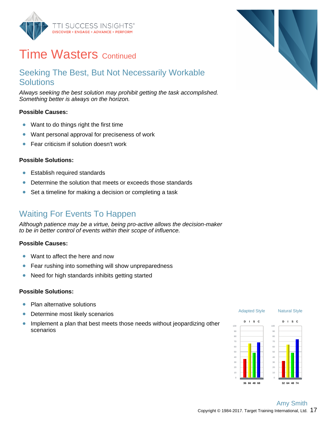

## **Time Wasters Continued**

### Seeking The Best, But Not Necessarily Workable **Solutions**

Always seeking the best solution may prohibit getting the task accomplished. Something better is always on the horizon.

#### **Possible Causes:**

- Want to do things right the first time  $\bullet$
- Want personal approval for preciseness of work  $\bullet$
- $\bullet$ Fear criticism if solution doesn't work

#### **Possible Solutions:**

- Establish required standards  $\bullet$
- Determine the solution that meets or exceeds those standards  $\bullet$
- Set a timeline for making a decision or completing a task  $\bullet$

### Waiting For Events To Happen

Although patience may be a virtue, being pro-active allows the decision-maker to be in better control of events within their scope of influence.

#### **Possible Causes:**

- Want to affect the here and now  $\bullet$
- $\bullet$ Fear rushing into something will show unpreparedness
- Need for high standards inhibits getting started  $\bullet$

#### **Possible Solutions:**

- Plan alternative solutions ò
- Determine most likely scenarios  $\bullet$
- $\bullet$ Implement a plan that best meets those needs without jeopardizing other scenarios



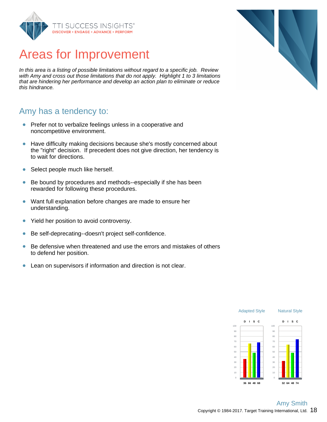

## Areas for Improvement

In this area is a listing of possible limitations without regard to a specific job. Review with Amy and cross out those limitations that do not apply. Highlight 1 to 3 limitations that are hindering her performance and develop an action plan to eliminate or reduce this hindrance.

### Amy has a tendency to:

- Prefer not to verbalize feelings unless in a cooperative and noncompetitive environment.
- Have difficulty making decisions because she's mostly concerned about  $\bullet$ the "right" decision. If precedent does not give direction, her tendency is to wait for directions.
- Select people much like herself.  $\bullet$
- Be bound by procedures and methods--especially if she has been  $\bullet$ rewarded for following these procedures.
- Want full explanation before changes are made to ensure her  $\bullet$ understanding.
- $\bullet$ Yield her position to avoid controversy.
- $\bullet$ Be self-deprecating--doesn't project self-confidence.
- Be defensive when threatened and use the errors and mistakes of others  $\bullet$ to defend her position.
- $\bullet$ Lean on supervisors if information and direction is not clear.



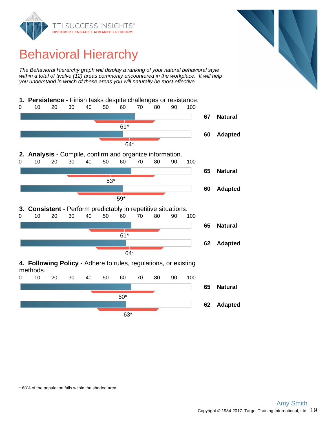

## Behavioral Hierarchy

The Behavioral Hierarchy graph will display a ranking of your natural behavioral style within a total of twelve (12) areas commonly encountered in the workplace. It will help you understand in which of these areas you will naturally be most effective.





\* 68% of the population falls within the shaded area.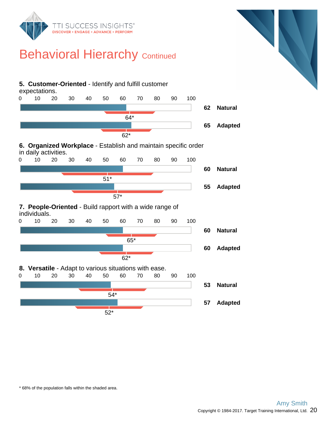

## **Behavioral Hierarchy Continued**



\* 68% of the population falls within the shaded area.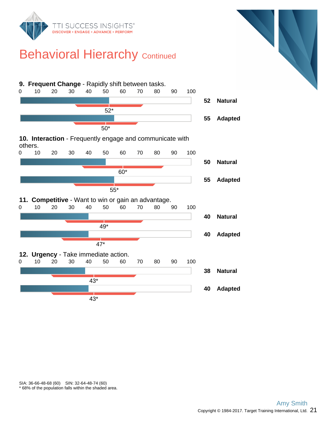

## **Behavioral Hierarchy Continued**



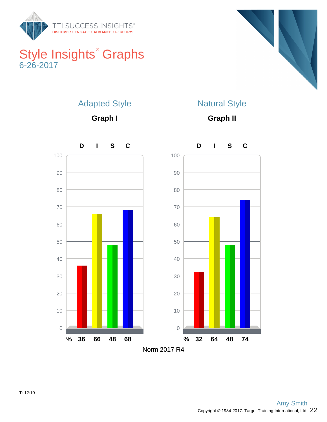

### Style Insights<sup>®</sup> Graphs 6-26-2017



### Adapted Style

**Graph I**

### Natural Style

**Graph II**

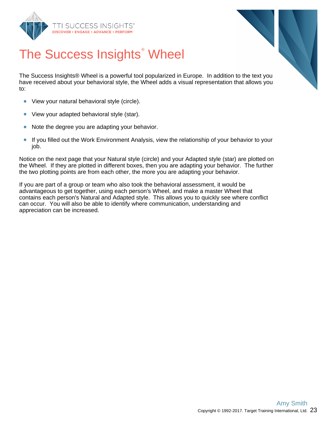



# The Success Insights<sup>®</sup> Wheel

The Success Insights® Wheel is a powerful tool popularized in Europe. In addition to the text you have received about your behavioral style, the Wheel adds a visual representation that allows you to:

- View your natural behavioral style (circle).  $\bullet$
- $\bullet$ View your adapted behavioral style (star).
- $\bullet$ Note the degree you are adapting your behavior.
- $\bullet$ If you filled out the Work Environment Analysis, view the relationship of your behavior to your job.

Notice on the next page that your Natural style (circle) and your Adapted style (star) are plotted on the Wheel. If they are plotted in different boxes, then you are adapting your behavior. The further the two plotting points are from each other, the more you are adapting your behavior.

If you are part of a group or team who also took the behavioral assessment, it would be advantageous to get together, using each person's Wheel, and make a master Wheel that contains each person's Natural and Adapted style. This allows you to quickly see where conflict can occur. You will also be able to identify where communication, understanding and appreciation can be increased.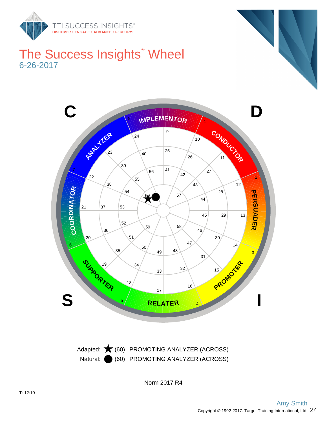

### The Success Insights<sup>®</sup> Wheel 6-26-2017



Natural: (60) PROMOTING ANALYZER (ACROSS) Adapted:  $\bigstar$  (60) PROMOTING ANALYZER (ACROSS)

Norm 2017 R4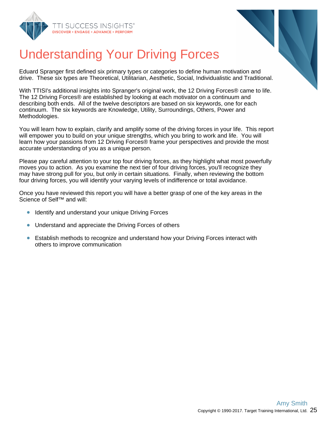



# Understanding Your Driving Forces

Eduard Spranger first defined six primary types or categories to define human motivation and drive. These six types are Theoretical, Utilitarian, Aesthetic, Social, Individualistic and Traditional.

With TTISI's additional insights into Spranger's original work, the 12 Driving Forces® came to life. The 12 Driving Forces® are established by looking at each motivator on a continuum and describing both ends. All of the twelve descriptors are based on six keywords, one for each continuum. The six keywords are Knowledge, Utility, Surroundings, Others, Power and Methodologies.

You will learn how to explain, clarify and amplify some of the driving forces in your life. This report will empower you to build on your unique strengths, which you bring to work and life. You will learn how your passions from 12 Driving Forces® frame your perspectives and provide the most accurate understanding of you as a unique person.

Please pay careful attention to your top four driving forces, as they highlight what most powerfully moves you to action. As you examine the next tier of four driving forces, you'll recognize they may have strong pull for you, but only in certain situations. Finally, when reviewing the bottom four driving forces, you will identify your varying levels of indifference or total avoidance.

Once you have reviewed this report you will have a better grasp of one of the key areas in the Science of Self™ and will:

- Identify and understand your unique Driving Forces
- $\bullet$ Understand and appreciate the Driving Forces of others
- Establish methods to recognize and understand how your Driving Forces interact with  $\bullet$ others to improve communication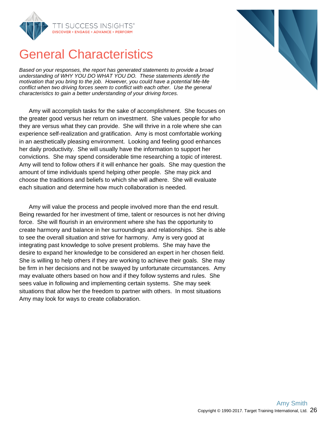

## General Characteristics

Based on your responses, the report has generated statements to provide a broad understanding of WHY YOU DO WHAT YOU DO. These statements identify the motivation that you bring to the job. However, you could have a potential Me-Me conflict when two driving forces seem to conflict with each other. Use the general characteristics to gain a better understanding of your driving forces.

Amy will accomplish tasks for the sake of accomplishment. She focuses on the greater good versus her return on investment. She values people for who they are versus what they can provide. She will thrive in a role where she can experience self-realization and gratification. Amy is most comfortable working in an aesthetically pleasing environment. Looking and feeling good enhances her daily productivity. She will usually have the information to support her convictions. She may spend considerable time researching a topic of interest. Amy will tend to follow others if it will enhance her goals. She may question the amount of time individuals spend helping other people. She may pick and choose the traditions and beliefs to which she will adhere. She will evaluate each situation and determine how much collaboration is needed.

Amy will value the process and people involved more than the end result. Being rewarded for her investment of time, talent or resources is not her driving force. She will flourish in an environment where she has the opportunity to create harmony and balance in her surroundings and relationships. She is able to see the overall situation and strive for harmony. Amy is very good at integrating past knowledge to solve present problems. She may have the desire to expand her knowledge to be considered an expert in her chosen field. She is willing to help others if they are working to achieve their goals. She may be firm in her decisions and not be swayed by unfortunate circumstances. Amy may evaluate others based on how and if they follow systems and rules. She sees value in following and implementing certain systems. She may seek situations that allow her the freedom to partner with others. In most situations Amy may look for ways to create collaboration.

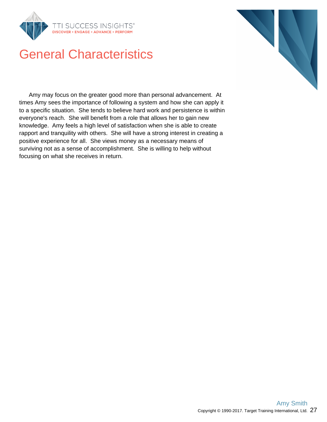

## General Characteristics

Amy may focus on the greater good more than personal advancement. At times Amy sees the importance of following a system and how she can apply it to a specific situation. She tends to believe hard work and persistence is within everyone's reach. She will benefit from a role that allows her to gain new knowledge. Amy feels a high level of satisfaction when she is able to create rapport and tranquility with others. She will have a strong interest in creating a positive experience for all. She views money as a necessary means of surviving not as a sense of accomplishment. She is willing to help without focusing on what she receives in return.

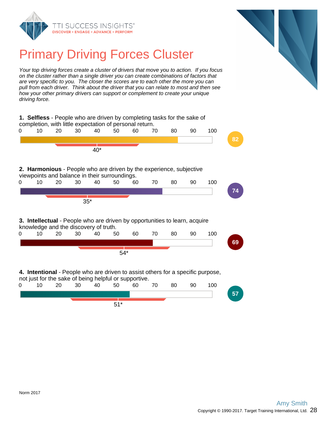



## Primary Driving Forces Cluster

Your top driving forces create a cluster of drivers that move you to action. If you focus on the cluster rather than a single driver you can create combinations of factors that are very specific to you. The closer the scores are to each other the more you can pull from each driver. Think about the driver that you can relate to most and then see how your other primary drivers can support or complement to create your unique driving force.

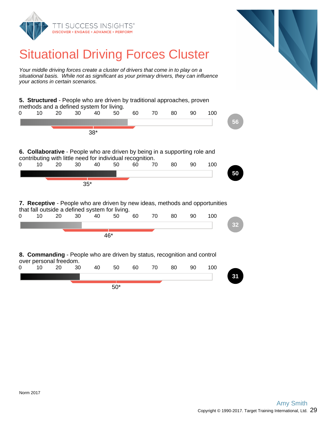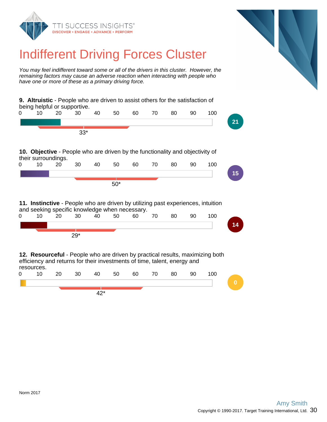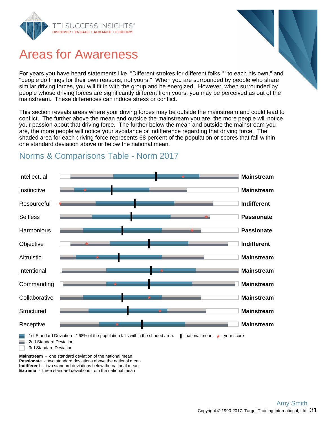

## Areas for Awareness

For years you have heard statements like, "Different strokes for different folks," "to each his own," and "people do things for their own reasons, not yours." When you are surrounded by people who share similar driving forces, you will fit in with the group and be energized. However, when surrounded by people whose driving forces are significantly different from yours, you may be perceived as out of the mainstream. These differences can induce stress or conflict.

This section reveals areas where your driving forces may be outside the mainstream and could lead to conflict. The further above the mean and outside the mainstream you are, the more people will notice your passion about that driving force. The further below the mean and outside the mainstream you are, the more people will notice your avoidance or indifference regarding that driving force. The shaded area for each driving force represents 68 percent of the population or scores that fall within one standard deviation above or below the national mean.



### Norms & Comparisons Table - Norm 2017

**Passionate** - two standard deviations above the national mean **Indifferent** - two standard deviations below the national mean **Extreme** - three standard deviations from the national mean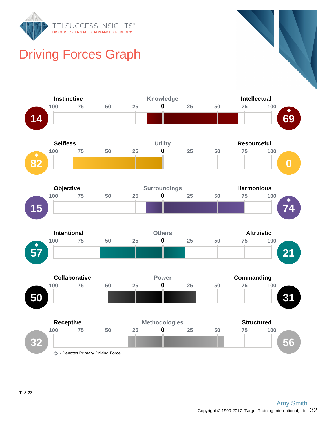

## Driving Forces Graph

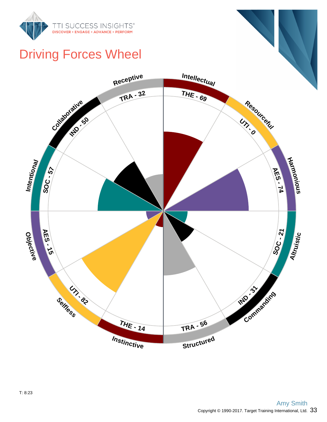

## Driving Forces Wheel

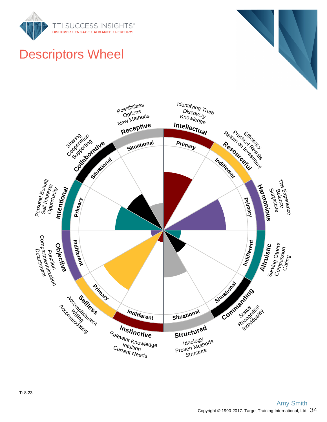



# Descriptors Wheel

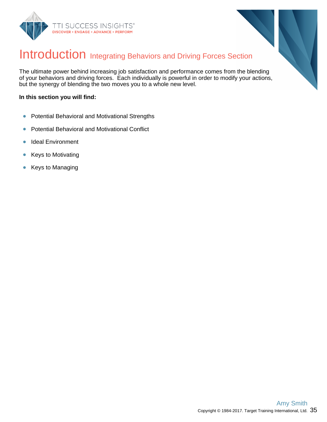



### Introduction Integrating Behaviors and Driving Forces Section

The ultimate power behind increasing job satisfaction and performance comes from the blending of your behaviors and driving forces. Each individually is powerful in order to modify your actions, but the synergy of blending the two moves you to a whole new level.

#### **In this section you will find:**

- Potential Behavioral and Motivational Strengths  $\bullet$
- Potential Behavioral and Motivational Conflict  $\bullet$
- Ideal Environment  $\bullet$
- Keys to Motivating  $\bullet$
- Keys to Managing  $\bullet$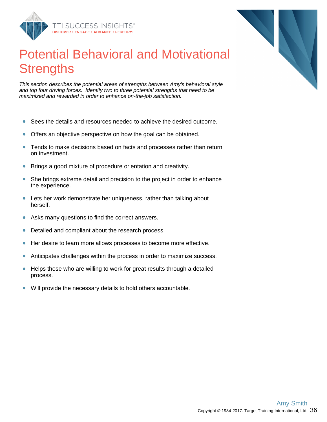

## Potential Behavioral and Motivational **Strengths**

This section describes the potential areas of strengths between Amy's behavioral style and top four driving forces. Identify two to three potential strengths that need to be maximized and rewarded in order to enhance on-the-job satisfaction.

- Sees the details and resources needed to achieve the desired outcome.  $\bullet$
- Offers an objective perspective on how the goal can be obtained.  $\bullet$
- Tends to make decisions based on facts and processes rather than return  $\bullet$ on investment.
- $\bullet$ Brings a good mixture of procedure orientation and creativity.
- She brings extreme detail and precision to the project in order to enhance  $\bullet$ the experience.
- $\bullet$ Lets her work demonstrate her uniqueness, rather than talking about herself.
- $\bullet$ Asks many questions to find the correct answers.
- Detailed and compliant about the research process.  $\bullet$
- Her desire to learn more allows processes to become more effective.  $\bullet$
- Anticipates challenges within the process in order to maximize success.  $\bullet$
- $\bullet$ Helps those who are willing to work for great results through a detailed process.
- Will provide the necessary details to hold others accountable.  $\bullet$

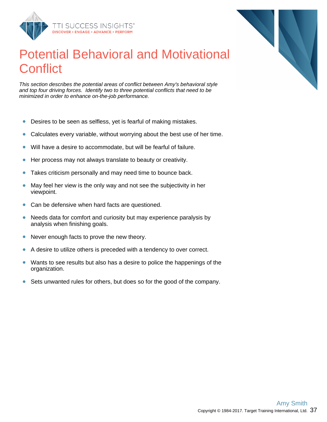

## Potential Behavioral and Motivational **Conflict**

This section describes the potential areas of conflict between Amy's behavioral style and top four driving forces. Identify two to three potential conflicts that need to be minimized in order to enhance on-the-job performance.

- Desires to be seen as selfless, yet is fearful of making mistakes.  $\bullet$
- Calculates every variable, without worrying about the best use of her time.  $\bullet$
- $\bullet$ Will have a desire to accommodate, but will be fearful of failure.
- Her process may not always translate to beauty or creativity.  $\bullet$
- Takes criticism personally and may need time to bounce back.  $\bullet$
- May feel her view is the only way and not see the subjectivity in her  $\bullet$ viewpoint.
- Can be defensive when hard facts are questioned.  $\bullet$
- $\bullet$ Needs data for comfort and curiosity but may experience paralysis by analysis when finishing goals.
- Never enough facts to prove the new theory.  $\bullet$
- $\bullet$ A desire to utilize others is preceded with a tendency to over correct.
- Wants to see results but also has a desire to police the happenings of the  $\bullet$ organization.
- Sets unwanted rules for others, but does so for the good of the company.  $\bullet$

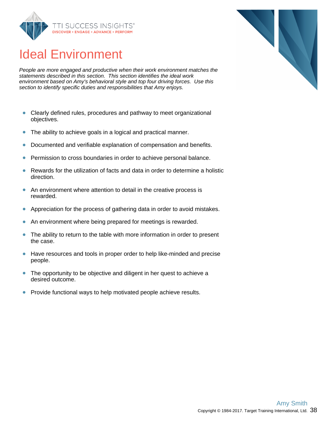

## Ideal Environment

People are more engaged and productive when their work environment matches the statements described in this section. This section identifies the ideal work environment based on Amy's behavioral style and top four driving forces. Use this section to identify specific duties and responsibilities that Amy enjoys.

- $\bullet$ Clearly defined rules, procedures and pathway to meet organizational objectives.
- The ability to achieve goals in a logical and practical manner.  $\bullet$
- $\bullet$ Documented and verifiable explanation of compensation and benefits.
- Permission to cross boundaries in order to achieve personal balance.  $\bullet$
- Rewards for the utilization of facts and data in order to determine a holistic  $\bullet$ direction.
- $\bullet$ An environment where attention to detail in the creative process is rewarded.
- Appreciation for the process of gathering data in order to avoid mistakes.  $\bullet$
- $\bullet$ An environment where being prepared for meetings is rewarded.
- The ability to return to the table with more information in order to present  $\bullet$ the case.
- $\bullet$ Have resources and tools in proper order to help like-minded and precise people.
- $\bullet$ The opportunity to be objective and diligent in her quest to achieve a desired outcome.
- Provide functional ways to help motivated people achieve results.  $\bullet$

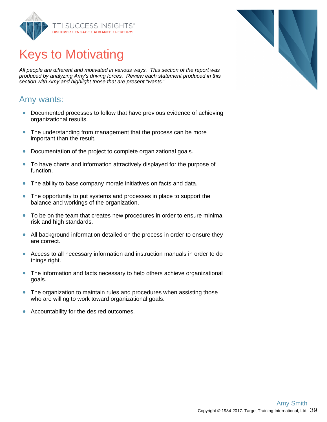

## Keys to Motivating

All people are different and motivated in various ways. This section of the report was produced by analyzing Amy's driving forces. Review each statement produced in this section with Amy and highlight those that are present "wants."

### Amy wants:

- Documented processes to follow that have previous evidence of achieving  $\bullet$ organizational results.
- $\bullet$ The understanding from management that the process can be more important than the result.
- Documentation of the project to complete organizational goals.  $\bullet$
- To have charts and information attractively displayed for the purpose of  $\bullet$ function.
- The ability to base company morale initiatives on facts and data.  $\bullet$
- The opportunity to put systems and processes in place to support the  $\bullet$ balance and workings of the organization.
- To be on the team that creates new procedures in order to ensure minimal  $\bullet$ risk and high standards.
- All background information detailed on the process in order to ensure they  $\bullet$ are correct.
- $\bullet$ Access to all necessary information and instruction manuals in order to do things right.
- $\bullet$ The information and facts necessary to help others achieve organizational goals.
- $\bullet$ The organization to maintain rules and procedures when assisting those who are willing to work toward organizational goals.
- $\bullet$ Accountability for the desired outcomes.

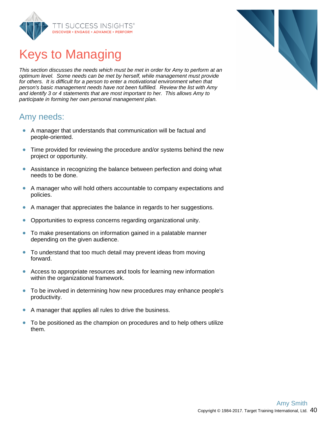

## Keys to Managing

This section discusses the needs which must be met in order for Amy to perform at an optimum level. Some needs can be met by herself, while management must provide for others. It is difficult for a person to enter a motivational environment when that person's basic management needs have not been fulfilled. Review the list with Amy and identify 3 or 4 statements that are most important to her. This allows Amy to participate in forming her own personal management plan.

### Amy needs:

- A manager that understands that communication will be factual and people-oriented.
- Time provided for reviewing the procedure and/or systems behind the new  $\bullet$ project or opportunity.
- $\bullet$ Assistance in recognizing the balance between perfection and doing what needs to be done.
- A manager who will hold others accountable to company expectations and policies.
- A manager that appreciates the balance in regards to her suggestions.  $\bullet$
- Opportunities to express concerns regarding organizational unity.  $\bullet$
- To make presentations on information gained in a palatable manner  $\bullet$ depending on the given audience.
- To understand that too much detail may prevent ideas from moving  $\bullet$ forward.
- Access to appropriate resources and tools for learning new information within the organizational framework.
- To be involved in determining how new procedures may enhance people's productivity.
- $\bullet$ A manager that applies all rules to drive the business.
- $\bullet$ To be positioned as the champion on procedures and to help others utilize them.

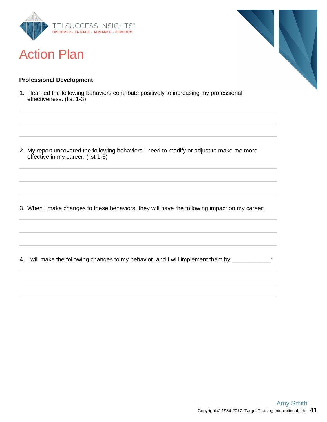

## Action Plan

#### **Professional Development**

1. I learned the following behaviors contribute positively to increasing my professional effectiveness: (list 1-3)

2. My report uncovered the following behaviors I need to modify or adjust to make me more effective in my career: (list 1-3)

3. When I make changes to these behaviors, they will have the following impact on my career:

4. I will make the following changes to my behavior, and I will implement them by \_\_\_\_\_\_\_\_\_\_\_\_: